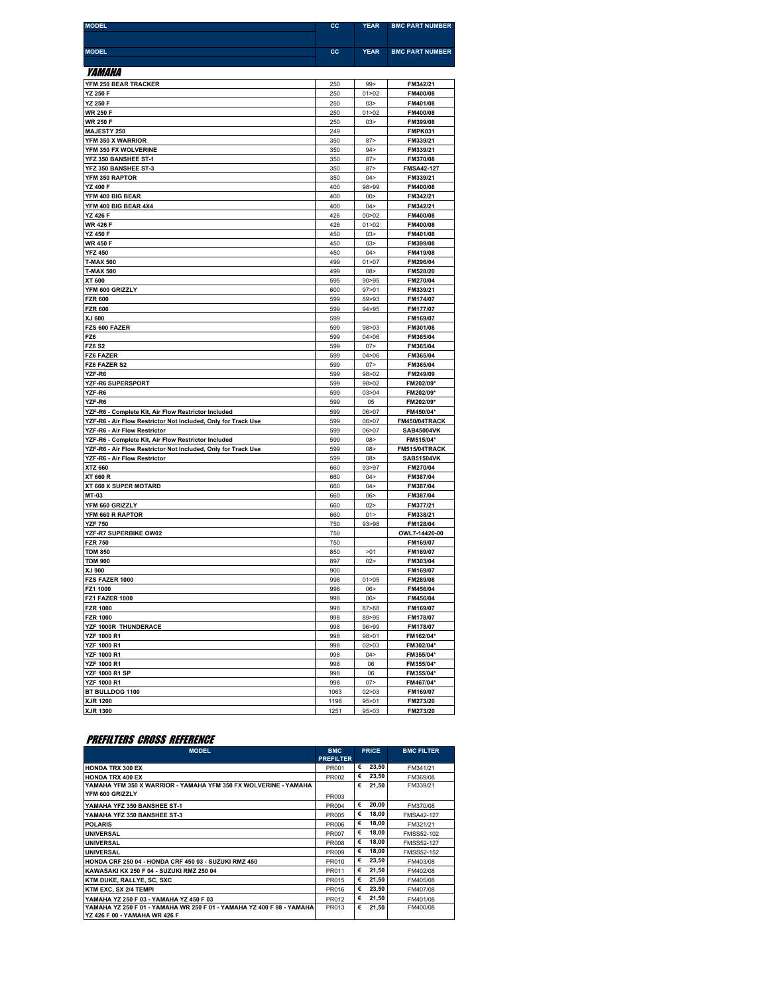| <b>MODEL</b>                                                                                  | CC           | YEAR               | <b>BMC PART NUMBER</b>             |
|-----------------------------------------------------------------------------------------------|--------------|--------------------|------------------------------------|
|                                                                                               |              |                    |                                    |
| <b>MODEL</b>                                                                                  | <b>CC</b>    | <b>YEAR</b>        | <b>BMC PART NUMBER</b>             |
|                                                                                               |              |                    |                                    |
| <i>YAMAHA</i>                                                                                 |              |                    |                                    |
| YFM 250 BEAR TRACKER<br>YZ 250 F                                                              | 250<br>250   | 99<br>01 > 02      | FM342/21<br>FM400/08               |
| YZ 250 F                                                                                      | 250          | 03 <sub>2</sub>    | FM401/08                           |
| WR 250 F                                                                                      | 250          | 01 > 02            | FM400/08                           |
| <b>WR 250 F</b>                                                                               | 250          | 03 >               | FM399/08                           |
| <b>MAJESTY 250</b>                                                                            | 249          |                    | <b>FMPK031</b>                     |
| YFM 350 X WARRIOR                                                                             | 350          | 87                 | FM339/21                           |
| YFM 350 FX WOLVERINE                                                                          | 350          | 94 >               | FM339/21                           |
| YFZ 350 BANSHEE ST-1<br>YFZ 350 BANSHEE ST-3                                                  | 350<br>350   | 87<br>87           | FM370/08<br><b>FMSA42-127</b>      |
| YFM 350 RAPTOR                                                                                | 350          | 04                 | FM339/21                           |
| <b>YZ 400 F</b>                                                                               | 400          | 98>99              | FM400/08                           |
| YFM 400 BIG BEAR                                                                              | 400          | 00                 | FM342/21                           |
| YFM 400 BIG BEAR 4X4                                                                          | 400          | 04                 | FM342/21                           |
| <b>YZ 426 F</b>                                                                               | 426          | 00 > 02<br>01 > 02 | FM400/08                           |
| <b>WR 426 F</b><br><b>YZ 450 F</b>                                                            | 426<br>450   | 03 <sub>2</sub>    | FM400/08<br>FM401/08               |
| <b>WR 450 F</b>                                                                               | 450          | 03 <sub>2</sub>    | FM399/08                           |
| <b>YFZ 450</b>                                                                                | 450          | 04 >               | FM419/08                           |
| <b>T-MAX 500</b>                                                                              | 499          | 01 > 07            | FM296/04                           |
| <b>T-MAX 500</b>                                                                              | 499          | 08                 | FM528/20                           |
| XT 600                                                                                        | 595          | 90 > 95            | FM270/04                           |
| YFM 600 GRIZZLY<br><b>FZR 600</b>                                                             | 600<br>599   | 97 > 01<br>89>93   | FM339/21<br>FM174/07               |
| <b>FZR 600</b>                                                                                | 599          | 94 > 95            | FM177/07                           |
| XJ 600                                                                                        | 599          |                    | FM169/07                           |
| FZS 600 FAZER                                                                                 | 599          | 98>03              | FM301/08                           |
| FZ6                                                                                           | 599          | 04 > 06            | FM365/04                           |
| <b>FZ6 S2</b>                                                                                 | 599          | 07                 | FM365/04                           |
| FZ6 FAZER<br>FZ6 FAZER S2                                                                     | 599<br>599   | 04 > 06<br>07      | FM365/04<br>FM365/04               |
| YZF-R6                                                                                        | 599          | 98>02              | FM249/09                           |
| YZF-R6 SUPERSPORT                                                                             | 599          | 98>02              | FM202/09*                          |
| YZF-R6                                                                                        | 599          | 03 > 04            | FM202/09*                          |
| YZF-R6                                                                                        | 599          | 05                 | FM202/09*                          |
| YZF-R6 - Complete Kit, Air Flow Restrictor Included                                           | 599          | 06>07              | FM450/04*                          |
| YZF-R6 - Air Flow Restrictor Not Included, Only for Track Use<br>YZF-R6 - Air Flow Restrictor | 599<br>599   | 06 > 07<br>06>07   | FM450/04TRACK<br><b>SAB45004VK</b> |
| YZF-R6 - Complete Kit, Air Flow Restrictor Included                                           | 599          | 08                 | FM515/04*                          |
| YZF-R6 - Air Flow Restrictor Not Included, Only for Track Use                                 | 599          | 08                 | FM515/04TRACK                      |
| YZF-R6 - Air Flow Restrictor                                                                  | 599          | 08                 | <b>SAB51504VK</b>                  |
| XTZ 660                                                                                       | 660          | 93>97              | FM270/04                           |
| XT 660 R                                                                                      | 660          | 04                 | FM387/04                           |
| XT 660 X SUPER MOTARD<br>MT-03                                                                | 660<br>660   | 04 ><br>06         | FM387/04<br>FM387/04               |
| YFM 660 GRIZZLY                                                                               | 660          | 02                 | FM377/21                           |
| YFM 660 R RAPTOR                                                                              | 660          | 01                 | FM338/21                           |
| <b>YZF 750</b>                                                                                | 750          | 93>98              | FM128/04                           |
| YZF-R7 SUPERBIKE OW02                                                                         | 750          |                    | OWL7-14420-00                      |
| <b>FZR 750</b>                                                                                | 750          |                    | FM169/07                           |
| <b>TDM 850</b>                                                                                | 850          | >01                | FM169/07                           |
| <b>TDM 900</b><br>XJ 900                                                                      | 897<br>900   | 02                 | FM303/04<br>FM169/07               |
| FZS FAZER 1000                                                                                | 998          | 01 > 05            | FM289/08                           |
| FZ1 1000                                                                                      | 998          | 06>                | FM456/04                           |
| <b>FZ1 FAZER 1000</b>                                                                         | 998          | 06                 | FM456/04                           |
| <b>FZR 1000</b>                                                                               | 998          | 87>88              | FM169/07                           |
| <b>FZR 1000</b>                                                                               | 998          | 89>95              | FM178/07                           |
| YZF 1000R THUNDERACE<br><b>YZF 1000 R1</b>                                                    | 998<br>998   | 96>99<br>98>01     | FM178/07<br>FM162/04*              |
| <b>YZF 1000 R1</b>                                                                            | 998          | 02 > 03            | FM302/04*                          |
| <b>YZF 1000 R1</b>                                                                            | 998          | 04 >               | FM355/04*                          |
| YZF 1000 R1                                                                                   | 998          | 06                 | FM355/04*                          |
| <b>YZF 1000 R1 SP</b>                                                                         | 998          | 06                 | FM355/04*                          |
| <b>YZF 1000 R1</b>                                                                            | 998          | 07                 | FM467/04*                          |
| BT BULLDOG 1100<br>XJR 1200                                                                   | 1063<br>1198 | 02 > 03            | FM169/07                           |
| XJR 1300                                                                                      | 1251         | 95>01<br>95 > 03   | FM273/20<br>FM273/20               |

## PREFILTERS CROSS REFERENCE

| <b>MODEL</b>                                                                                           | <b>BMC</b>       |   | <b>PRICE</b> | <b>BMC FILTER</b> |
|--------------------------------------------------------------------------------------------------------|------------------|---|--------------|-------------------|
|                                                                                                        | <b>PREFILTER</b> |   |              |                   |
| <b>HONDA TRX 300 EX</b>                                                                                | PR001            | € | 23.50        | FM341/21          |
| <b>HONDA TRX 400 EX</b>                                                                                | PR002            | € | 23,50        | FM369/08          |
| YAMAHA YFM 350 X WARRIOR - YAMAHA YFM 350 FX WOLVERINE - YAMAHA                                        |                  | € | 21,50        | FM339/21          |
| YFM 600 GRIZZLY                                                                                        | PR003            |   |              |                   |
| YAMAHA YFZ 350 BANSHEE ST-1                                                                            | PR004            | € | 20,00        | FM370/08          |
| YAMAHA YFZ 350 BANSHEE ST-3                                                                            | <b>PR005</b>     | € | 18,00        | <b>FMSA42-127</b> |
| <b>POLARIS</b>                                                                                         | PR006            | € | 18,00        | FM321/21          |
| <b>UNIVERSAL</b>                                                                                       | PR007            | € | 18,00        | <b>FMSS52-102</b> |
| <b>UNIVERSAL</b>                                                                                       | <b>PR008</b>     | € | 18,00        | <b>FMSS52-127</b> |
| <b>UNIVERSAL</b>                                                                                       | PR009            | € | 18,00        | <b>FMSS52-152</b> |
| HONDA CRF 250 04 - HONDA CRF 450 03 - SUZUKI RMZ 450                                                   | PR010            | € | 23,50        | FM403/08          |
| KAWASAKI KX 250 F 04 - SUZUKI RMZ 250 04                                                               | PR011            | € | 21,50        | FM402/08          |
| KTM DUKE, RALLYE, SC, SXC                                                                              | PR015            | € | 21,50        | FM405/08          |
| KTM EXC, SX 2/4 TEMPI                                                                                  | PR016            | € | 23.50        | FM407/08          |
| YAMAHA YZ 250 F 03 - YAMAHA YZ 450 F 03                                                                | PR012            | € | 21,50        | FM401/08          |
| YAMAHA YZ 250 F 01 - YAMAHA WR 250 F 01 - YAMAHA YZ 400 F 98 - YAMAHA<br>YZ 426 F 00 - YAMAHA WR 426 F | PR013            | € | 21.50        | FM400/08          |